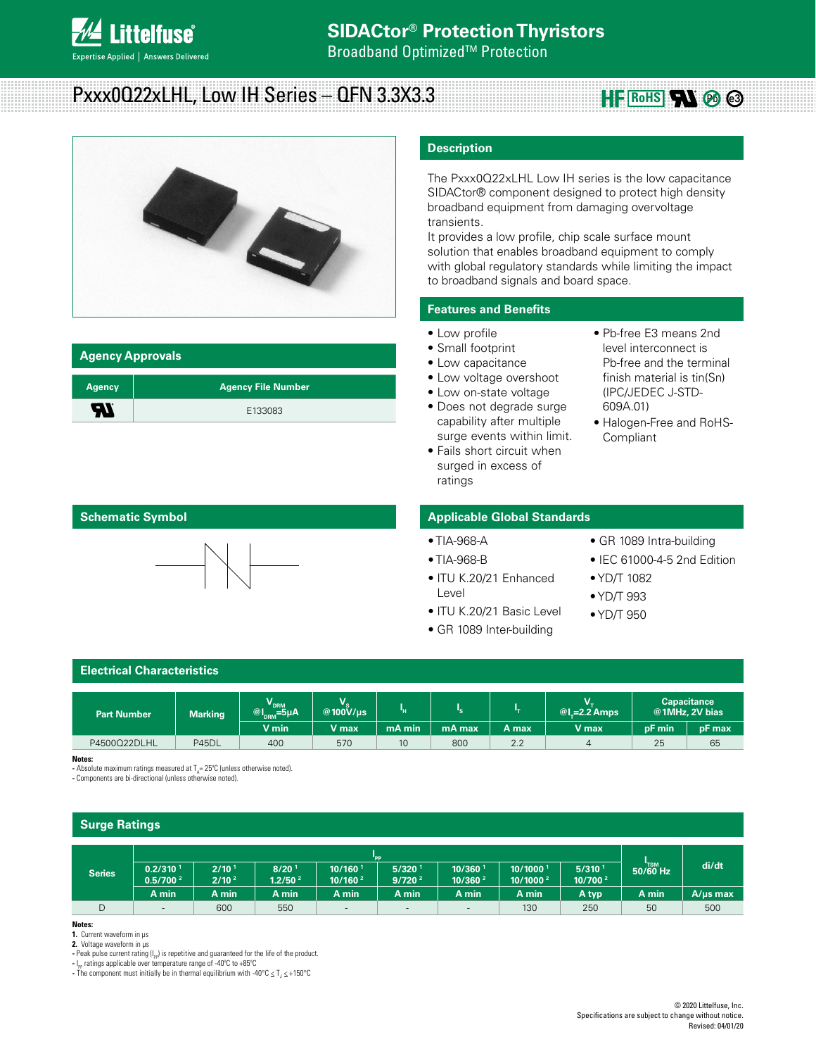

**Broadband Optimized™ Protection** 

# Pxxx0Q22xLHL, Low IH Series – QFN 3.3X3.3



#### **Agency Approvals**

| <b>Agency</b> | <b>Agency File Number</b> |
|---------------|---------------------------|
| - 1           | E133083                   |

# **Description**

The Pxxx0Q22xLHL Low IH series is the low capacitance SIDACtor® component designed to protect high density broadband equipment from damaging overvoltage transients.

It provides a low profile, chip scale surface mount solution that enables broadband equipment to comply with global regulatory standards while limiting the impact to broadband signals and board space.

# **Features and Benefits**

- Low profile
- Small footprint
- Low capacitance
- Low voltage overshoot
- Low on-state voltage
- Does not degrade surge capability after multiple surge events within limit.
- Fails short circuit when surged in excess of ratings
- Pb-free E3 means 2nd level interconnect is Pb-free and the terminal finish material is tin(Sn) (IPC/JEDEC J-STD-609A.01)

**HE ROHS RN**  $\otimes$   $\otimes$ 

• Halogen-Free and RoHS-Compliant

## **Schematic Symbol**



#### **Applicable Global Standards**

# • TIA-968-A

- TIA-968-B
- ITU K.20/21 Enhanced Level
- ITU K.20/21 Basic Level
- GR 1089 Inter-building
- GR 1089 Intra-building
- IEC 61000-4-5 2nd Edition
- YD/T 1082
- YD/T 993
- YD/T 950

# **Electrical Characteristics**

| <b>Part Number</b> | <b>Marking</b> | V<br>$@I_{DRM}^{\nu_{DRM}}=5\mu A$ | v<br>@100V/us                           |        |        |       | $@$ l,=2.2 Amps |        | <b>Capacitance</b><br>@1MHz, 2V bias |
|--------------------|----------------|------------------------------------|-----------------------------------------|--------|--------|-------|-----------------|--------|--------------------------------------|
|                    |                | V min                              | $\mathsf{V}\ \mathsf{max}^{\mathsf{t}}$ | mA min | mA max | A max | V max           | pF min | pF max                               |
| P4500Q22DLHL       | P45DL          | 400                                | 570                                     | 10     | 800    | 2.2   | $\overline{a}$  | 25     | 65                                   |

**Notes:** 

- Absolute maximum ratings measured at  $T_A = 25^{\circ}$ C (unless otherwise noted).

**-** Components are bi-directional (unless otherwise noted).

# **Surge Ratings**

| 'PP                                          |                                          |                                          |                                              |                                            |                                |                                 |                                  |       |               |
|----------------------------------------------|------------------------------------------|------------------------------------------|----------------------------------------------|--------------------------------------------|--------------------------------|---------------------------------|----------------------------------|-------|---------------|
| 0.2/310 <sup>1</sup><br>0.5/700 <sup>2</sup> | $2/10$ <sup>1</sup><br>2/10 <sup>2</sup> | 8/20 <sup>1</sup><br>1.2/50 <sup>2</sup> | $10/160$ <sup>1</sup><br>10/160 <sup>2</sup> | $5/320$ <sup>1</sup><br>9/720 <sup>2</sup> | 10/360<br>10/360 <sup>2</sup>  | 10/1000<br>10/1000 <sup>2</sup> | 5/310 <sup>1</sup><br>10/700 $2$ |       | di/dt         |
| A min                                        | A min                                    | A min                                    | A min                                        | A min                                      | A min                          | A min                           | A typ                            | A min | $A/\mu s$ max |
| $\qquad \qquad =\qquad \qquad$               | 600                                      | 550                                      |                                              |                                            | $\qquad \qquad =\qquad \qquad$ | 130                             | 250                              | 50    | 500           |
|                                              |                                          |                                          |                                              |                                            |                                |                                 |                                  |       | $50/60$ Hz    |

#### **Notes:**

**1.** Current waveform in µs

**2.** Voltage waveform in µs

- Peak pulse current rating (I<sub>PP</sub>) is repetitive and guaranteed for the life of the product.

**-** I PP ratings applicable over temperature range of -40ºC to +85ºC - The component must initially be in thermal equilibrium with -40°C  $\leq$  T<sub>J</sub>  $\leq$  +150°C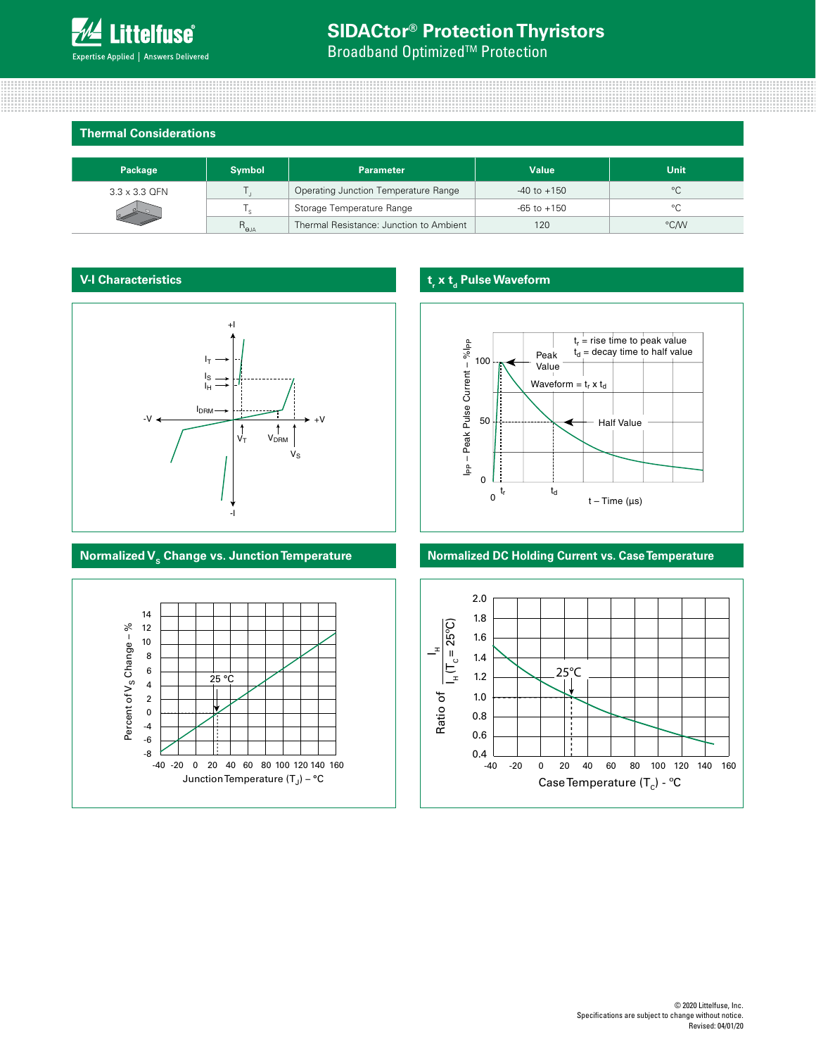**Broadband Optimized<sup>™</sup> Protection** 

#### **Thermal Considerations**

| Package              | <b>Symbol</b>  | <b>Parameter</b>                        | <b>Value</b>    | Unit         |
|----------------------|----------------|-----------------------------------------|-----------------|--------------|
| $3.3 \times 3.3$ QFN |                | Operating Junction Temperature Range    | $-40$ to $+150$ | $^{\circ}$ C |
|                      |                | Storage Temperature Range               | $-65$ to $+150$ | °C           |
|                      | $R_{\theta$ JA | Thermal Resistance: Junction to Ambient | 120             | °C/W         |

## **V-I Characteristics**





# **t<sub>r</sub>** x **t**<sub>d</sub> Pulse Waveform



# **Normalized V<sub>s</sub> Change vs. Junction Temperature <b>Normalized DC Holding Current vs. Case Temperature**

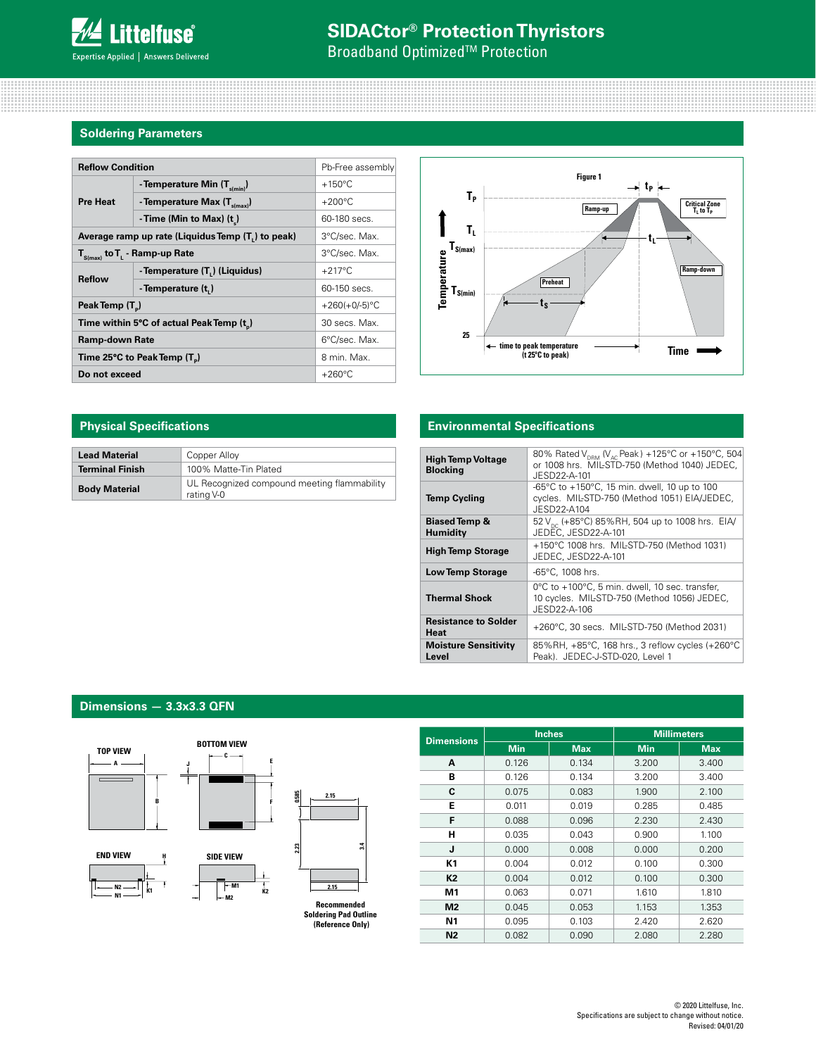**Broadband Optimized<sup>™</sup> Protection** 

## **Soldering Parameters**

| <b>Reflow Condition</b>                           | Pb-Free assembly                        |                  |  |
|---------------------------------------------------|-----------------------------------------|------------------|--|
|                                                   | - Temperature Min $(T_{s(min)})$        | $+150^{\circ}$ C |  |
| <b>Pre Heat</b>                                   | - Temperature Max $(T_{\text{simax}})$  | $+200^{\circ}$ C |  |
|                                                   | - Time (Min to Max) (t)                 | 60-180 secs.     |  |
| Average ramp up rate (Liquidus Temp (T,) to peak) | 3°C/sec. Max.                           |                  |  |
| $T_{\text{S(max)}}$ to $T_{L}$ - Ramp-up Rate     | 3°C/sec. Max.                           |                  |  |
| <b>Reflow</b>                                     | - Temperature (T.) (Liquidus)           | $+217^{\circ}$ C |  |
|                                                   | - Temperature (t,)                      | 60-150 secs.     |  |
| Peak Temp (T <sub>n</sub> )                       |                                         | +260(+0/-5) $°C$ |  |
|                                                   | Time within 5°C of actual Peak Temp (t) | 30 secs. Max.    |  |
| <b>Ramp-down Rate</b>                             | 6°C/sec. Max.                           |                  |  |
| Time 25°C to Peak Temp (T <sub>a</sub> )          | 8 min. Max.                             |                  |  |
| Do not exceed                                     |                                         | $+260^{\circ}$ C |  |



| <b>Lead Material</b>   | Copper Alloy                                              |
|------------------------|-----------------------------------------------------------|
| <b>Terminal Finish</b> | 100% Matte-Tin Plated                                     |
| <b>Body Material</b>   | UL Recognized compound meeting flammability<br>rating V-0 |

## **Physical Specifications Environmental Specifications**

| <b>High Temp Voltage</b><br><b>Blocking</b> | 80% Rated V <sub>DRM</sub> (V <sub>AC</sub> Peak) +125°C or +150°C, 504<br>or 1008 hrs. MIL-STD-750 (Method 1040) JEDEC.<br>JESD22-A-101 |
|---------------------------------------------|------------------------------------------------------------------------------------------------------------------------------------------|
| <b>Temp Cycling</b>                         | -65°C to +150°C, 15 min. dwell, 10 up to 100<br>cvcles. MIL-STD-750 (Method 1051) EIA/JEDEC,<br>JFSD22-A104                              |
| <b>Biased Temp &amp;</b><br><b>Humidity</b> | 52 V <sub>pc</sub> (+85°C) 85%RH, 504 up to 1008 hrs. EIA/<br>JEDEC, JESD22-A-101                                                        |
| <b>High Temp Storage</b>                    | +150°C 1008 hrs. MIL-STD-750 (Method 1031)<br>JEDEC, JESD22-A-101                                                                        |
| <b>Low Temp Storage</b>                     | $-65^{\circ}$ C. 1008 hrs.                                                                                                               |
| <b>Thermal Shock</b>                        | 0°C to +100°C, 5 min. dwell, 10 sec. transfer,<br>10 cycles. MIL-STD-750 (Method 1056) JEDEC,<br>JESD22-A-106                            |
| <b>Resistance to Solder</b><br><b>Heat</b>  | +260°C, 30 secs. MIL-STD-750 (Method 2031)                                                                                               |
| <b>Moisture Sensitivity</b><br>Level        | 85%RH, +85°C, 168 hrs., 3 reflow cycles (+260°C<br>Peak). JEDEC-J-STD-020, Level 1                                                       |

# **Dimensions — 3.3x3.3 QFN**





|                   |            | <b>Inches</b> |            | <b>Millimeters</b> |
|-------------------|------------|---------------|------------|--------------------|
| <b>Dimensions</b> | <b>Min</b> | <b>Max</b>    | <b>Min</b> | <b>Max</b>         |
| A                 | 0.126      | 0.134         | 3.200      | 3.400              |
| в                 | 0.126      | 0.134         | 3.200      | 3.400              |
| C                 | 0.075      | 0.083         | 1.900      | 2.100              |
| Е                 | 0.011      | 0.019         | 0.285      | 0.485              |
| F                 | 0.088      | 0.096         | 2.230      | 2.430              |
| н                 | 0.035      | 0.043         | 0.900      | 1.100              |
| J                 | 0.000      | 0.008         | 0.000      | 0.200              |
| К1                | 0.004      | 0.012         | 0.100      | 0.300              |
| K <sub>2</sub>    | 0.004      | 0.012         | 0.100      | 0.300              |
| M1                | 0.063      | 0.071         | 1.610      | 1.810              |
| M <sub>2</sub>    | 0.045      | 0.053         | 1.153      | 1.353              |
| Ν1                | 0.095      | 0.103         | 2.420      | 2.620              |
| N <sub>2</sub>    | 0.082      | 0.090         | 2.080      | 2.280              |